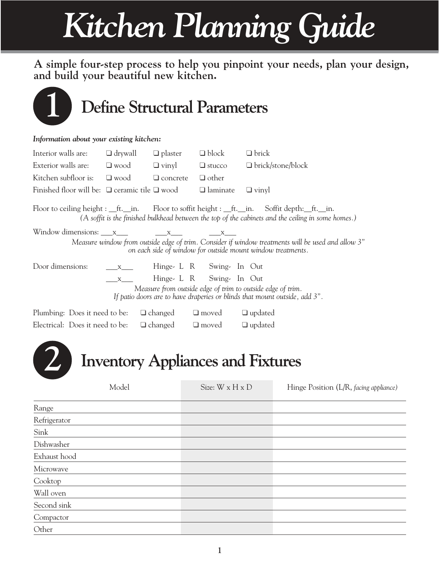# *Kitchen Planning Guide*

**A simple four-step process to help you pinpoint your needs, plan your design, and build your beautiful new kitchen.**



Compactor Other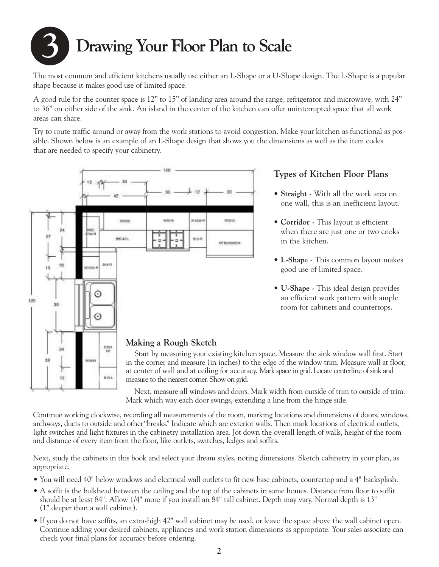## **3 Drawing Your Floor Plan to Scale**

The most common and efficient kitchens usually use either an L-Shape or a U-Shape design. The L-Shape is a popular shape because it makes good use of limited space.

A good rule for the counter space is 12" to 15" of landing area around the range, refrigerator and microwave, with 24" to 36" on either side of the sink. An island in the center of the kitchen can offer uninterrupted space that all work areas can share.

Try to route traffic around or away from the work stations to avoid congestion. Make your kitchen as functional as possible. Shown below is an example of an L-Shape design that shows you the dimensions as well as the item codes that are needed to specify your cabinetry.



**Types of Kitchen Floor Plans**

- **Straight** With all the work area on one wall, this is an inefficient layout.
- **Corridor** This layout is efficient when there are just one or two cooks in the kitchen.
- **L-Shape** This common layout makes good use of limited space.
- **U-Shape** This ideal design provides an efficient work pattern with ample room for cabinets and countertops.

#### Next, measure all windows and doors. Mark width from outside of trim to outside of trim. Mark which way each door swings, extending a line from the hinge side.

Continue working clockwise, recording all measurements of the room, marking locations and dimensions of doors, windows, archways, ducts to outside and other"breaks." Indicate which are exterior walls. Then mark locations of electrical outlets, light switches and light fixtures in the cabinetry installation area. Jot down the overall length of walls, height of the room and distance of every item from the floor, like outlets, switches, ledges and soffits.

Next, study the cabinets in this book and select your dream styles, noting dimensions. Sketch cabinetry in your plan, as appropriate.

- You will need 40" below windows and electrical wall outlets to fit new base cabinets, countertop and a 4" backsplash.
- A soffit is the bulkhead between the ceiling and the top of the cabinets in some homes. Distance from floor to soffit should be at least 84". Allow 1/4" more if you install an 84" tall cabinet. Depth may vary. Normal depth is 13" (1" deeper than a wall cabinet).
- If you do not have soffits, an extra-high 42" wall cabinet may be used, or leave the space above the wall cabinet open. Continue adding your desired cabinets, appliances and work station dimensions as appropriate. Your sales associate can check your final plans for accuracy before ordering.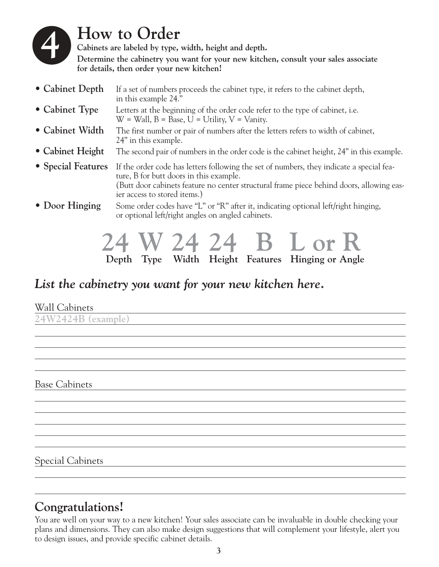

### **How to Order**

**Cabinets are labeled by type, width, height and depth. Determine the cabinetry you want for your new kitchen, consult your sales associate for details, then order your new kitchen!**

| • Cabinet Depth    | If a set of numbers proceeds the cabinet type, it refers to the cabinet depth,<br>in this example 24."                                                                                                                                                          |
|--------------------|-----------------------------------------------------------------------------------------------------------------------------------------------------------------------------------------------------------------------------------------------------------------|
| • Cabinet Type     | Letters at the beginning of the order code refer to the type of cabinet, i.e.<br>$W =$ Wall, $B =$ Base, $U =$ Utility, $V =$ Vanity.                                                                                                                           |
| • Cabinet Width    | The first number or pair of numbers after the letters refers to width of cabinet,<br>24" in this example.                                                                                                                                                       |
| • Cabinet Height   | The second pair of numbers in the order code is the cabinet height, 24" in this example.                                                                                                                                                                        |
| • Special Features | If the order code has letters following the set of numbers, they indicate a special fea-<br>ture, B for butt doors in this example.<br>(Butt door cabinets feature no center structural frame piece behind doors, allowing eas-<br>ier access to stored items.) |
| • Door Hinging     | Some order codes have "L" or "R" after it, indicating optional left/right hinging,<br>or optional left/right angles on angled cabinets.                                                                                                                         |



### *List the cabinetry you want for your new kitchen here.*

|  | <b>Wall Cabinets</b> |  |
|--|----------------------|--|
|--|----------------------|--|

**24W2424B (example)**

Base Cabinets

Special Cabinets

### **Congratulations!**

You are well on your way to a new kitchen! Your sales associate can be invaluable in double checking your plans and dimensions. They can also make design suggestions that will complement your lifestyle, alert you to design issues, and provide specific cabinet details.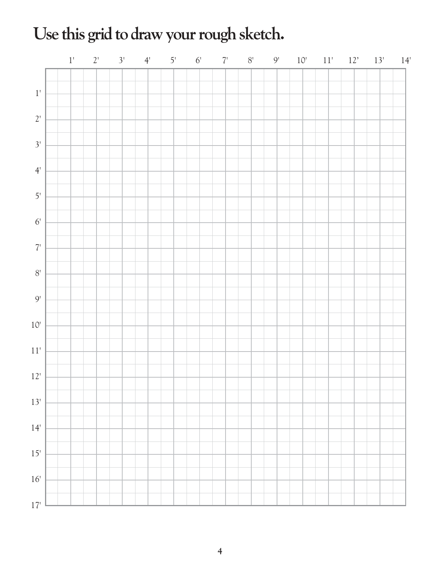## Use this grid to draw your rough sketch.